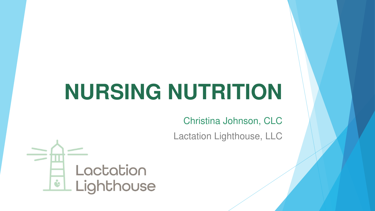# **NURSING NUTRITION**

Christina Johnson, CLC

Lactation Lighthouse, LLC

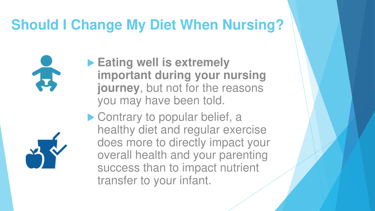## **Should I Change My Diet When Nursing?**

 **Eating well is extremely important during your nursing journey**, but not for the reasons you may have been told.

▶ Contrary to popular belief, a healthy diet and regular exercise does more to directly impact your overall health and your parenting success than to impact nutrient transfer to your infant.



Ă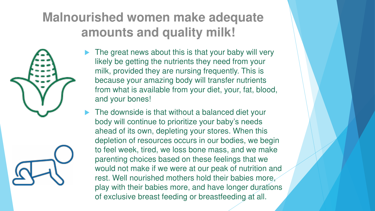#### **Malnourished women make adequate amounts and quality milk!**

- The great news about this is that your baby will very likely be getting the nutrients they need from your milk, provided they are nursing frequently. This is because your amazing body will transfer nutrients from what is available from your diet, your, fat, blood, and your bones!
- The downside is that without a balanced diet your body will continue to prioritize your baby's needs ahead of its own, depleting your stores. When this depletion of resources occurs in our bodies, we begin to feel week, tired, we loss bone mass, and we make parenting choices based on these feelings that we would not make if we were at our peak of nutrition and rest. Well nourished mothers hold their babies more, play with their babies more, and have longer durations of exclusive breast feeding or breastfeeding at all.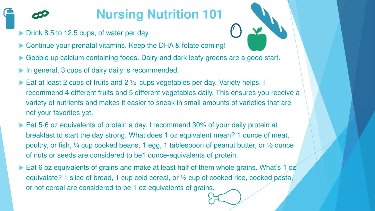#### **Nursing Nutrition 101**

- Drink 8.5 to 12.5 cups, of water per day.
- ▶ Continue your prenatal vitamins. Keep the DHA & folate coming!
- Gobble up calcium containing foods. Dairy and dark leafy greens are a good start.
- ▶ In general, 3 cups of dairy daily is recommended.
- Eat at least 2 cups of fruits and 2  $\frac{1}{2}$  cups vegetables per day. Variety helps, I recommend 4 different fruits and 5 different vegetables daily. This ensures you receive a variety of nutrients and makes it easier to sneak in small amounts of varieties that are not your favorites yet.
- ▶ Eat 5-6 oz equivalents of protein a day. I recommend 30% of your daily protein at breakfast to start the day strong. What does 1 oz equivalent mean? 1 ounce of meat, poultry, or fish, ¼ cup cooked beans, 1 egg, 1 tablespoon of peanut butter, or ½ ounce of nuts or seeds are considered to be1 ounce-equivalents of protein.
- ► Eat 6 oz equivalents of grains and make at least half of them whole grains. What's 1 oz equivalate? 1 slice of bread, 1 cup cold cereal, or ½ cup of cooked rice, cooked pasta, or hot cereal are considered to be 1 oz equivalents of grains.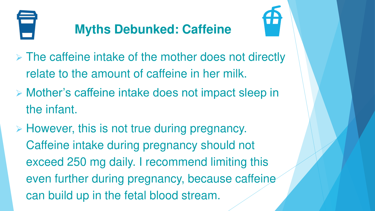

#### **Myths Debunked: Caffeine**



- ➢ The caffeine intake of the mother does not directly relate to the amount of caffeine in her milk.
- ➢ Mother's caffeine intake does not impact sleep in the infant.
- ➢ However, this is not true during pregnancy. Caffeine intake during pregnancy should not exceed 250 mg daily. I recommend limiting this even further during pregnancy, because caffeine can build up in the fetal blood stream.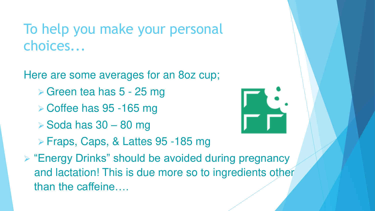To help you make your personal choices...

Here are some averages for an 8oz cup;

- ➢ Green tea has 5 25 mg
- ➢ Coffee has 95 -165 mg
- $\triangleright$  Soda has 30 80 mg



- ➢ Fraps, Caps, & Lattes 95 -185 mg
- ➢ "Energy Drinks" should be avoided during pregnancy and lactation! This is due more so to ingredients other than the caffeine….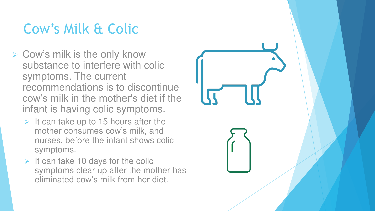## Cow's Milk & Colic

- ➢ Cow's milk is the only know substance to interfere with colic symptoms. The current recommendations is to discontinue cow's milk in the mother's diet if the infant is having colic symptoms.
	- $\triangleright$  It can take up to 15 hours after the mother consumes cow's milk, and nurses, before the infant shows colic symptoms.
	- $\triangleright$  It can take 10 days for the colic symptoms clear up after the mother has eliminated cow's milk from her diet.

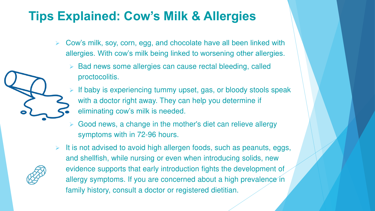#### **Tips Explained: Cow's Milk & Allergies**

- $\triangleright$  Cow's milk, soy, corn, egg, and chocolate have all been linked with allergies. With cow's milk being linked to worsening other allergies.
	- Bad news some allergies can cause rectal bleeding, called proctocolitis.
	- If baby is experiencing tummy upset, gas, or bloody stools speak with a doctor right away. They can help you determine if eliminating cow's milk is needed.
	- Good news, a change in the mother's diet can relieve allergy symptoms with in 72-96 hours.
- It is not advised to avoid high allergen foods, such as peanuts, eggs, and shellfish, while nursing or even when introducing solids, new evidence supports that early introduction fights the development of allergy symptoms. If you are concerned about a high prevalence in family history, consult a doctor or registered dietitian.

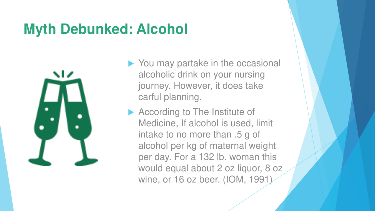## **Myth Debunked: Alcohol**



- ▶ You may partake in the occasional alcoholic drink on your nursing journey. However, it does take carful planning.
- ▶ According to The Institute of Medicine, If alcohol is used, limit intake to no more than .5 g of alcohol per kg of maternal weight per day. For a 132 lb. woman this would equal about 2 oz liquor, 8 oz wine, or 16 oz beer. (IOM, 1991)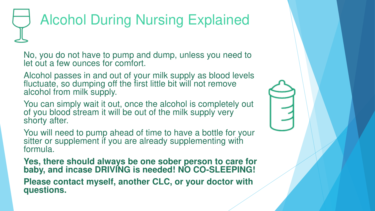# Alcohol During Nursing Explained

No, you do not have to pump and dump, unless you need to let out a few ounces for comfort.

Alcohol passes in and out of your milk supply as blood levels fluctuate, so dumping off the first little bit will not remove alcohol from milk supply.

You can simply wait it out, once the alcohol is completely out of you blood stream it will be out of the milk supply very shorty after.

You will need to pump ahead of time to have a bottle for your sitter or supplement if you are already supplementing with formula.

**Yes, there should always be one sober person to care for baby, and incase DRIVING is needed! NO CO-SLEEPING!**

**Please contact myself, another CLC, or your doctor with questions.**

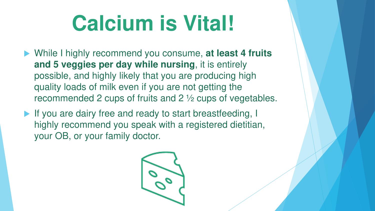# **Calcium is Vital!**

- ▶ While I highly recommend you consume, at least 4 fruits **and 5 veggies per day while nursing**, it is entirely possible, and highly likely that you are producing high quality loads of milk even if you are not getting the recommended 2 cups of fruits and 2 ½ cups of vegetables.
- If you are dairy free and ready to start breastfeeding, I highly recommend you speak with a registered dietitian, your OB, or your family doctor.

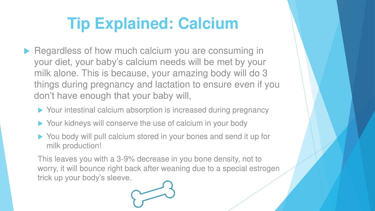# **Tip Explained: Calcium**

- Regardless of how much calcium you are consuming in your diet, your baby's calcium needs will be met by your milk alone. This is because, your amazing body will do 3 things during pregnancy and lactation to ensure even if you don't have enough that your baby will,
	- ▶ Your intestinal calcium absorption is increased during pregnancy
	- ▶ Your kidneys will conserve the use of calcium in your body
	- ▶ You body will pull calcium stored in your bones and send it up for milk production!

This leaves you with a 3-9% decrease in you bone density, not to worry, it will bounce right back after weaning due to a special estrogen trick up your body's sleeve.

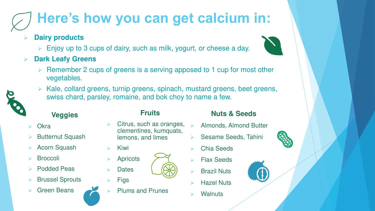# **Here's how you can get calcium in:**

- ➢ **Dairy products**
	- ➢ Enjoy up to 3 cups of dairy, such as milk, yogurt, or cheese a day.
- ➢ **Dark Leafy Greens** 
	- Remember 2 cups of greens is a serving apposed to 1 cup for most other vegetables.
	- Kale, collard greens, turnip greens, spinach, mustard greens, beet greens, swiss chard, parsley, romaine, and bok choy to name a few.

**Fruits**

Citrus, such as oranges,



#### **Veggies**

- **Okra**
- **Butternut Squash**
- Acorn Squash
- **Broccoli**
- Podded Peas
- **Brussel Sprouts**
- ➢ Green Beans



- ➢ Kiwi
- ➢ Apricots **Dates**
- **Figs**
- ➢ Plums and Prunes

#### **Nuts & Seeds**

- ➢ Almonds, Almond Butter
- ➢ Sesame Seeds, Tahini
- ➢ Chia Seeds
- Flax Seeds
- **Brazil Nuts**
- **Hazel Nuts**
- **Walnuts**

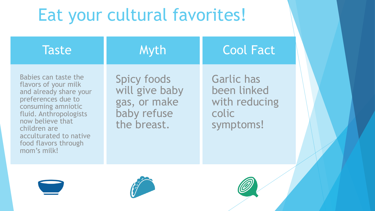# Eat your cultural favorites!

| <b>Taste</b>                                                                                                                                                                                                                                      | <b>Myth</b>                                                                        | <b>Cool Fact</b>                                                        |
|---------------------------------------------------------------------------------------------------------------------------------------------------------------------------------------------------------------------------------------------------|------------------------------------------------------------------------------------|-------------------------------------------------------------------------|
| Babies can taste the<br>flavors of your milk<br>and already share your<br>preferences due to<br>consuming amniotic<br>fluid. Anthropologists<br>now believe that<br>children are<br>acculturated to native<br>food flavors through<br>mom's milk! | <b>Spicy foods</b><br>will give baby<br>gas, or make<br>baby refuse<br>the breast. | <b>Garlic has</b><br>been linked<br>with reducing<br>colic<br>symptoms! |





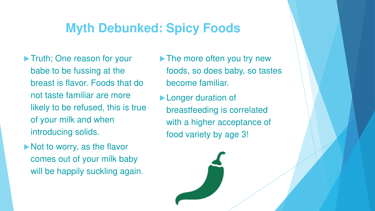#### **Myth Debunked: Spicy Foods**

- Truth; One reason for your babe to be fussing at the breast is flavor. Foods that do not taste familiar are more likely to be refused, this is true of your milk and when introducing solids.
- Not to worry, as the flavor comes out of your milk baby will be happily suckling again.
- The more often you try new foods, so does baby, so tastes become familiar.
- **Longer duration of** breastfeeding is correlated with a higher acceptance of food variety by age 3!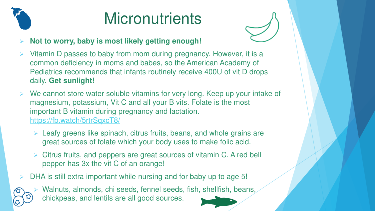

# **Micronutrients**



#### ➢ **Not to worry, baby is most likely getting enough!**

- Vitamin D passes to baby from mom during pregnancy. However, it is a common deficiency in moms and babes, so the American Academy of Pediatrics recommends that infants routinely receive 400U of vit D drops daily. **Get sunlight!**
- We cannot store water soluble vitamins for very long. Keep up your intake of magnesium, potassium, Vit C and all your B vits. Folate is the most important B vitamin during pregnancy and lactation. <https://fb.watch/5rtrSqxcT8/>
	- ➢ Leafy greens like spinach, citrus fruits, beans, and whole grains are great sources of folate which your body uses to make folic acid.
	- ➢ Citrus fruits, and peppers are great sources of vitamin C. A red bell pepper has 3x the vit C of an orange!
- DHA is still extra important while nursing and for baby up to age 5!



Walnuts, almonds, chi seeds, fennel seeds, fish, shellfish, beans, chickpeas, and lentils are all good sources.

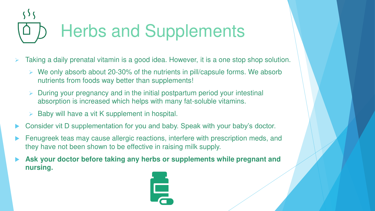# Herbs and Supplements

- Taking a daily prenatal vitamin is a good idea. However, it is a one stop shop solution.
	- $\triangleright$  We only absorb about 20-30% of the nutrients in pill/capsule forms. We absorb nutrients from foods way better than supplements!
	- ➢ During your pregnancy and in the initial postpartum period your intestinal absorption is increased which helps with many fat-soluble vitamins.
	- $\triangleright$  Baby will have a vit K supplement in hospital.
- Consider vit D supplementation for you and baby. Speak with your baby's doctor.
- Fenugreek teas may cause allergic reactions, interfere with prescription meds, and they have not been shown to be effective in raising milk supply.
- **Ask your doctor before taking any herbs or supplements while pregnant and nursing.**

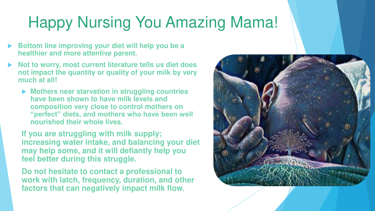# Happy Nursing You Amazing Mama!

- **Bottom line improving your diet will help you be a healthier and more attentive parent.**
- **Not to worry, most current literature tells us diet does not impact the quantity or quality of your milk by very much at all!** 
	- ▶ Mothers near starvation in struggling countries **have been shown to have milk levels and composition very close to control mothers on "perfect" diets, and mothers who have been well nourished their whole lives.**

**If you are struggling with milk supply; increasing water intake, and balancing your diet may help some, and it will defiantly help you feel better during this struggle.** 

**Do not hesitate to contact a professional to work with latch, frequency, duration, and other factors that can negatively impact milk flow.**

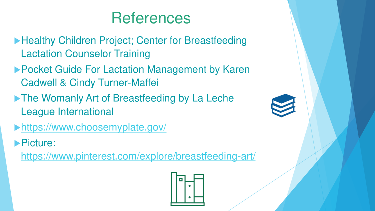## **References**

- **Healthy Children Project; Center for Breastfeeding** Lactation Counselor Training
- ▶ Pocket Guide For Lactation Management by Karen Cadwell & Cindy Turner-Maffei
- The Womanly Art of Breastfeeding by La Leche League International
- <https://www.choosemyplate.gov/>
- **Picture:**

[https://www.pinterest.com/explore/breastfeeding-art/](https://www.choosemyplate.gov/)